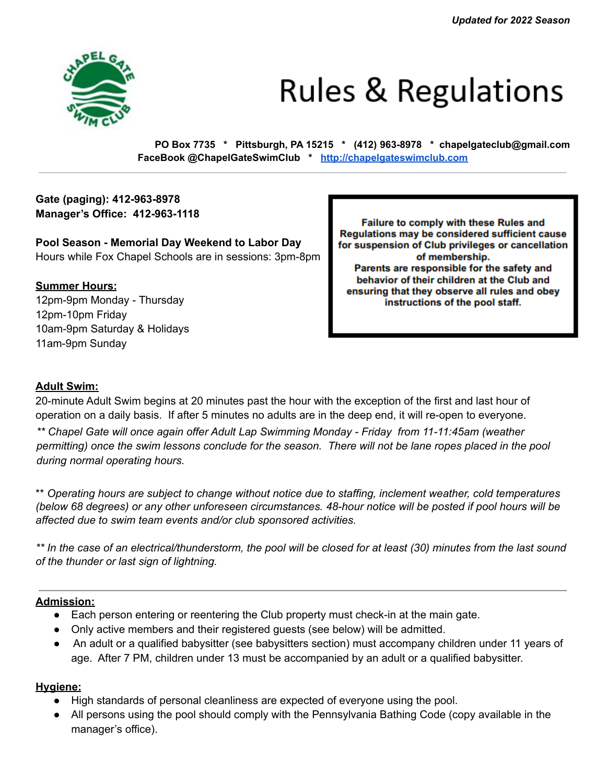

# **Rules & Regulations**

**PO Box 7735 \* Pittsburgh, PA 15215 \* (412) 963-8978 \* chapelgateclub@gmail.com FaceBook @ChapelGateSwimClub \* http://chapelgateswimclub.com**

# **Gate (paging): 412-963-8978 Manager's Office: 412-963-1118**

**Pool Season - Memorial Day Weekend to Labor Day** Hours while Fox Chapel Schools are in sessions: 3pm-8pm

## **Summer Hours:**

12pm-9pm Monday - Thursday 12pm-10pm Friday 10am-9pm Saturday & Holidays 11am-9pm Sunday

Failure to comply with these Rules and Regulations may be considered sufficient cause for suspension of Club privileges or cancellation of membership. Parents are responsible for the safety and behavior of their children at the Club and ensuring that they observe all rules and obey instructions of the pool staff.

# **Adult Swim:**

20-minute Adult Swim begins at 20 minutes past the hour with the exception of the first and last hour of operation on a daily basis. If after 5 minutes no adults are in the deep end, it will re-open to everyone. *\*\* Chapel Gate will once again offer Adult Lap Swimming Monday - Friday from 11-11:45am (weather permitting) once the swim lessons conclude for the season. There will not be lane ropes placed in the pool during normal operating hours.*

\*\* *Operating hours are subject to change without notice due to staffing, inclement weather, cold temperatures (below 68 degrees) or any other unforeseen circumstances. 48-hour notice will be posted if pool hours will be affected due to swim team events and/or club sponsored activities.*

*\*\* In the case of an electrical/thunderstorm, the pool will be closed for at least (30) minutes from the last sound of the thunder or last sign of lightning.*

## **Admission:**

- Each person entering or reentering the Club property must check-in at the main gate.
- Only active members and their registered guests (see below) will be admitted.
- An adult or a qualified babysitter (see babysitters section) must accompany children under 11 years of age. After 7 PM, children under 13 must be accompanied by an adult or a qualified babysitter.

#### **Hygiene:**

- High standards of personal cleanliness are expected of everyone using the pool.
- All persons using the pool should comply with the Pennsylvania Bathing Code (copy available in the manager's office).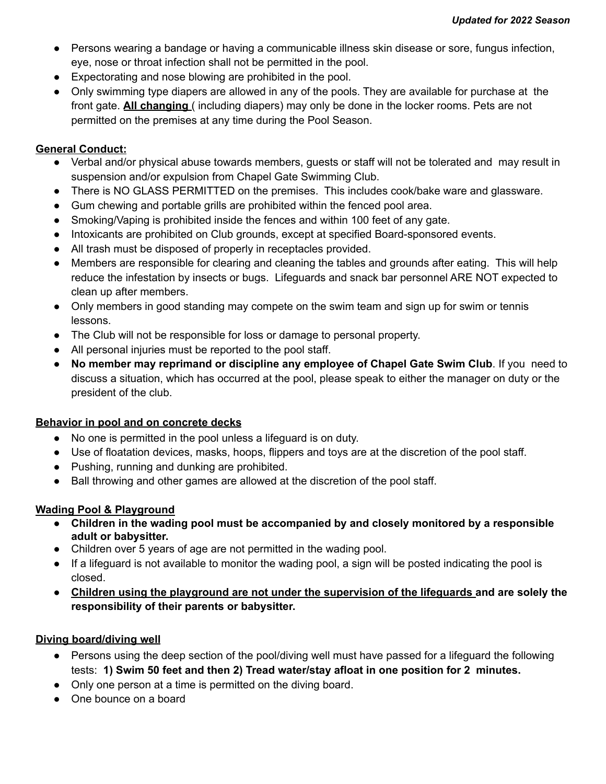- Persons wearing a bandage or having a communicable illness skin disease or sore, fungus infection, eye, nose or throat infection shall not be permitted in the pool.
- Expectorating and nose blowing are prohibited in the pool.
- Only swimming type diapers are allowed in any of the pools. They are available for purchase at the front gate. **All changing** ( including diapers) may only be done in the locker rooms. Pets are not permitted on the premises at any time during the Pool Season.

## **General Conduct:**

- Verbal and/or physical abuse towards members, guests or staff will not be tolerated and may result in suspension and/or expulsion from Chapel Gate Swimming Club.
- There is NO GLASS PERMITTED on the premises. This includes cook/bake ware and glassware.
- Gum chewing and portable grills are prohibited within the fenced pool area.
- Smoking/Vaping is prohibited inside the fences and within 100 feet of any gate.
- Intoxicants are prohibited on Club grounds, except at specified Board-sponsored events.
- All trash must be disposed of properly in receptacles provided.
- Members are responsible for clearing and cleaning the tables and grounds after eating. This will help reduce the infestation by insects or bugs. Lifeguards and snack bar personnel ARE NOT expected to clean up after members.
- Only members in good standing may compete on the swim team and sign up for swim or tennis lessons.
- The Club will not be responsible for loss or damage to personal property.
- All personal injuries must be reported to the pool staff.
- **No member may reprimand or discipline any employee of Chapel Gate Swim Club**. If you need to discuss a situation, which has occurred at the pool, please speak to either the manager on duty or the president of the club.

#### **Behavior in pool and on concrete decks**

- No one is permitted in the pool unless a lifeguard is on duty.
- Use of floatation devices, masks, hoops, flippers and toys are at the discretion of the pool staff.
- Pushing, running and dunking are prohibited.
- Ball throwing and other games are allowed at the discretion of the pool staff.

#### **Wading Pool & Playground**

- **● Children in the wading pool must be accompanied by and closely monitored by a responsible adult or babysitter.**
- Children over 5 years of age are not permitted in the wading pool.
- If a lifeguard is not available to monitor the wading pool, a sign will be posted indicating the pool is closed.
- **Children using the playground are not under the supervision of the lifeguards and are solely the responsibility of their parents or babysitter.**

#### **Diving board/diving well**

- Persons using the deep section of the pool/diving well must have passed for a lifeguard the following tests: **1) Swim 50 feet and then 2) Tread water/stay afloat in one position for 2 minutes.**
- Only one person at a time is permitted on the diving board.
- One bounce on a board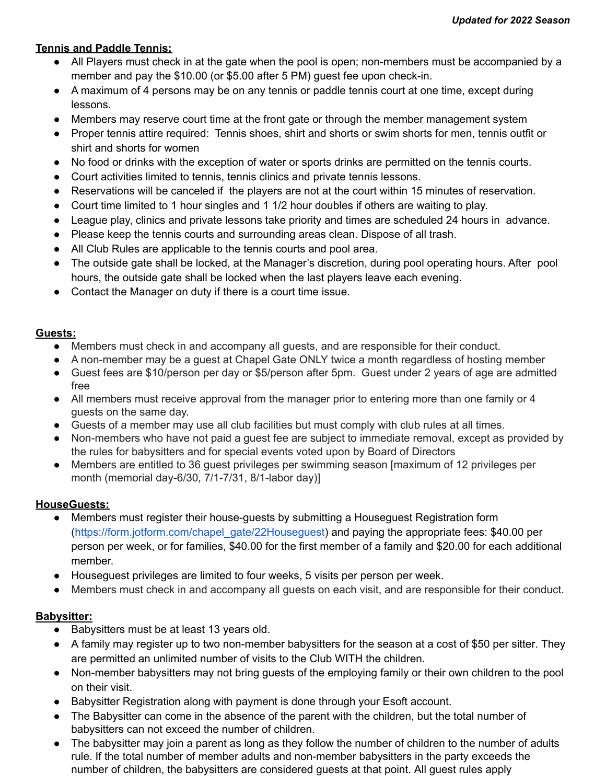## **Tennis and Paddle Tennis:**

- All Players must check in at the gate when the pool is open; non-members must be accompanied by a member and pay the \$10.00 (or \$5.00 after 5 PM) guest fee upon check-in.
- A maximum of 4 persons may be on any tennis or paddle tennis court at one time, except during lessons.
- Members may reserve court time at the front gate or through the member management system
- Proper tennis attire required: Tennis shoes, shirt and shorts or swim shorts for men, tennis outfit or shirt and shorts for women
- No food or drinks with the exception of water or sports drinks are permitted on the tennis courts.
- Court activities limited to tennis, tennis clinics and private tennis lessons.
- Reservations will be canceled if the players are not at the court within 15 minutes of reservation.
- Court time limited to 1 hour singles and 1 1/2 hour doubles if others are waiting to play.
- League play, clinics and private lessons take priority and times are scheduled 24 hours in advance.
- Please keep the tennis courts and surrounding areas clean. Dispose of all trash.
- All Club Rules are applicable to the tennis courts and pool area.
- The outside gate shall be locked, at the Manager's discretion, during pool operating hours. After pool hours, the outside gate shall be locked when the last players leave each evening.
- Contact the Manager on duty if there is a court time issue.

#### **Guests:**

- Members must check in and accompany all guests, and are responsible for their conduct.
- A non-member may be a guest at Chapel Gate ONLY twice a month regardless of hosting member
- Guest fees are \$10/person per day or \$5/person after 5pm. Guest under 2 years of age are admitted free
- All members must receive approval from the manager prior to entering more than one family or 4 guests on the same day.
- Guests of a member may use all club facilities but must comply with club rules at all times.
- Non-members who have not paid a guest fee are subject to immediate removal, except as provided by the rules for babysitters and for special events voted upon by Board of Directors
- Members are entitled to 36 guest privileges per swimming season [maximum of 12 privileges per month (memorial day-6/30, 7/1-7/31, 8/1-labor day)]

#### **HouseGuests:**

- Members must register their house-guests by submitting a Houseguest Registration form (https://form.jotform.com/chapel\_gate/22Houseguest) and paying the appropriate fees: \$40.00 per person per week, or for families, \$40.00 for the first member of a family and \$20.00 for each additional member.
- Houseguest privileges are limited to four weeks, 5 visits per person per week.
- Members must check in and accompany all quests on each visit, and are responsible for their conduct.

## **Babysitter:**

- Babysitters must be at least 13 years old.
- A family may register up to two non-member babysitters for the season at a cost of \$50 per sitter. They are permitted an unlimited number of visits to the Club WITH the children.
- Non-member babysitters may not bring guests of the employing family or their own children to the pool on their visit.
- Babysitter Registration along with payment is done through your Esoft account.
- The Babysitter can come in the absence of the parent with the children, but the total number of babysitters can not exceed the number of children.
- The babysitter may join a parent as long as they follow the number of children to the number of adults rule. If the total number of member adults and non-member babysitters in the party exceeds the number of children, the babysitters are considered guests at that point. All guest rules apply